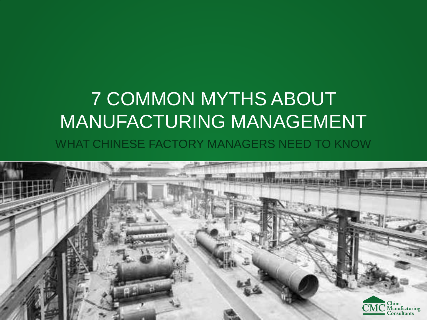# 7 COMMON MYTHS ABOUT MANUFACTURING MANAGEMENT

WHAT CHINESE FACTORY MANAGERS NEED TO KNOW

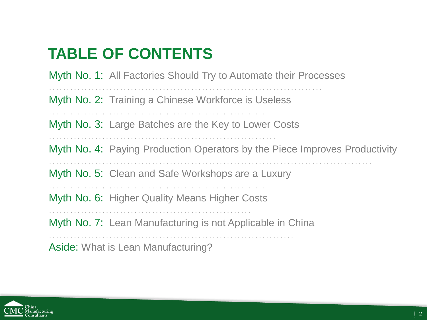#### **TABLE OF CONTENTS**

Myth No. 1: All Factories Should Try to Automate their Processes

Myth No. 2: Training a Chinese Workforce is Useless

Myth No. 3: Large Batches are the Key to Lower Costs

Myth No. 4: Paying Production Operators by the Piece Improves Productivity

Myth No. 5: Clean and Safe Workshops are a Luxury

Myth No. 6: Higher Quality Means Higher Costs

Myth No. 7: Lean Manufacturing is not Applicable in China

Aside: What is Lean Manufacturing?

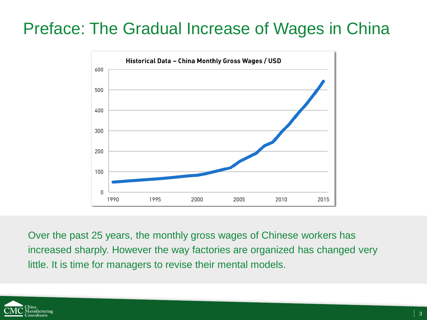#### Preface: The Gradual Increase of Wages in China



Over the past 25 years, the monthly gross wages of Chinese workers has increased sharply. However the way factories are organized has changed very little. It is time for managers to revise their mental models.

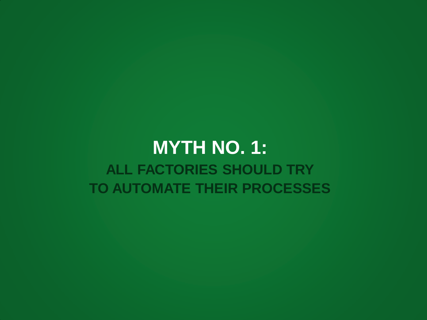#### **MYTH NO. 1: ALL FACTORIES SHOULD TRY TO AUTOMATE THEIR PROCESSES**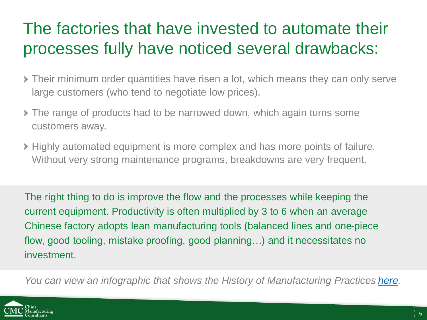#### The factories that have invested to automate their processes fully have noticed several drawbacks:

- Their minimum order quantities have risen a lot, which means they can only serve large customers (who tend to negotiate low prices).
- The range of products had to be narrowed down, which again turns some customers away.
- Highly automated equipment is more complex and has more points of failure. Without very strong maintenance programs, breakdowns are very frequent.

The right thing to do is improve the flow and the processes while keeping the current equipment. Productivity is often multiplied by 3 to 6 when an average Chinese factory adopts lean manufacturing tools (balanced lines and one-piece flow, good tooling, mistake proofing, good planning…) and it necessitates no investment.

*You can view an infographic that shows the History of Manufacturing Practices [here](http://cmc-consultants.com/resources/history-manufacturing-practices/).*

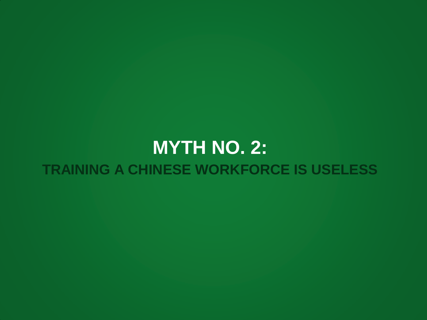#### **MYTH NO. 2: TRAINING A CHINESE WORKFORCE IS USELESS**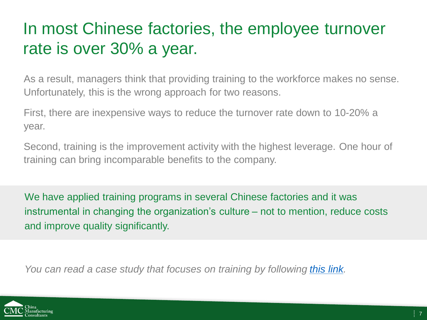#### In most Chinese factories, the employee turnover rate is over 30% a year.

As a result, managers think that providing training to the workforce makes no sense. Unfortunately, this is the wrong approach for two reasons.

First, there are inexpensive ways to reduce the turnover rate down to 10-20% a year.

Second, training is the improvement activity with the highest leverage. One hour of training can bring incomparable benefits to the company.

We have applied training programs in several Chinese factories and it was instrumental in changing the organization's culture – not to mention, reduce costs and improve quality significantly.

*You can read a case study that focuses on training by following [this link](http://cmc-consultants.com/resources/case-study-cost-reduction-capacity-improvement-sanitary-product-factory-china/).*

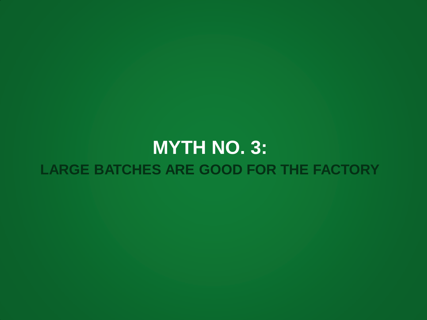### **MYTH NO. 3: LARGE BATCHES ARE GOOD FOR THE FACTORY**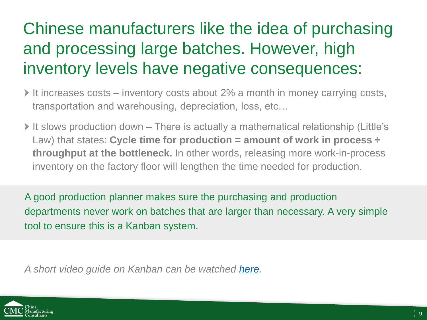# Chinese manufacturers like the idea of purchasing and processing large batches. However, high inventory levels have negative consequences:

- It increases costs inventory costs about 2% a month in money carrying costs, transportation and warehousing, depreciation, loss, etc…
- It slows production down There is actually a mathematical relationship (Little's Law) that states: **Cycle time for production = amount of work in process ÷ throughput at the bottleneck.** In other words, releasing more work-in-process inventory on the factory floor will lengthen the time needed for production.

A good production planner makes sure the purchasing and production departments never work on batches that are larger than necessary. A very simple tool to ensure this is a Kanban system.

A short video guide on Kanban can be watched [here](https://www.youtube.com/watch?v=y77BGscoc8E).

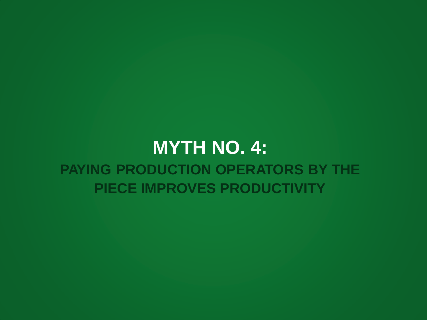#### **MYTH NO. 4: PAYING PRODUCTION OPERATORS BY THE PIECE IMPROVES PRODUCTIVITY**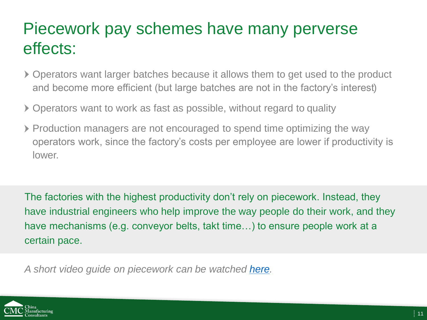#### Piecework pay schemes have many perverse effects:

- Operators want larger batches because it allows them to get used to the product and become more efficient (but large batches are not in the factory's interest)
- Operators want to work as fast as possible, without regard to quality
- Production managers are not encouraged to spend time optimizing the way operators work, since the factory's costs per employee are lower if productivity is lower.

The factories with the highest productivity don't rely on piecework. Instead, they have industrial engineers who help improve the way people do their work, and they have mechanisms (e.g. conveyor belts, takt time…) to ensure people work at a certain pace.

*A short video guide on piecework can be watched [here.](https://www.youtube.com/watch?v=p4Ewd59mHzk)*

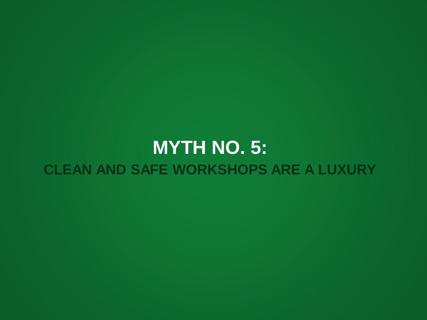# **MYTH NO. 5: CLEAN AND SAFE WORKSHOPS ARE A LUXURY**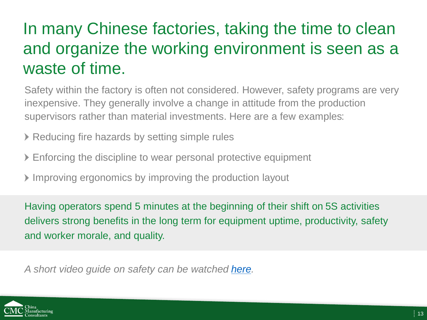#### In many Chinese factories, taking the time to clean and organize the working environment is seen as a waste of time.

Safety within the factory is often not considered. However, safety programs are very inexpensive. They generally involve a change in attitude from the production supervisors rather than material investments. Here are a few examples:

Reducing fire hazards by setting simple rules

- Enforcing the discipline to wear personal protective equipment
- Improving ergonomics by improving the production layout

Having operators spend 5 minutes at the beginning of their shift on 5S activities delivers strong benefits in the long term for equipment uptime, productivity, safety and worker morale, and quality.

*A short video guide on safety can be watched [here.](https://www.youtube.com/watch?v=O5GtWg77XMQ)*

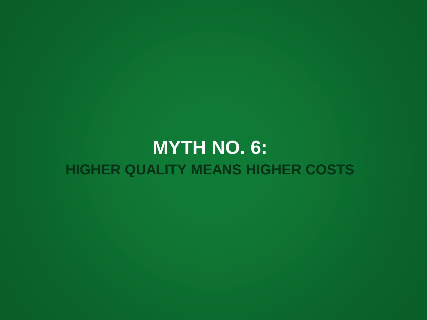#### **MYTH NO. 6: HIGHER QUALITY MEANS HIGHER COSTS**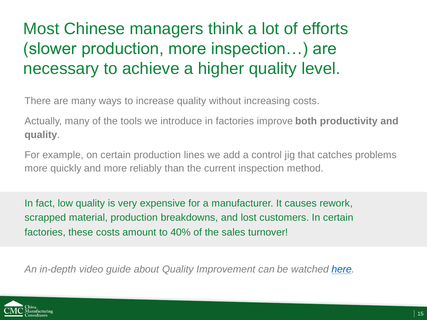# Most Chinese managers think a lot of efforts (slower production, more inspection…) are necessary to achieve a higher quality level.

There are many ways to increase quality without increasing costs.

Actually, many of the tools we introduce in factories improve **both productivity and quality**.

For example, on certain production lines we add a control jig that catches problems more quickly and more reliably than the current inspection method.

In fact, low quality is very expensive for a manufacturer. It causes rework, scrapped material, production breakdowns, and lost customers. In certain factories, these costs amount to 40% of the sales turnover!

An in-depth video guide about Quality Improvement can be watched [here.](http://cmc-consultants.com/resources/improve-quality-chinese-factory/)

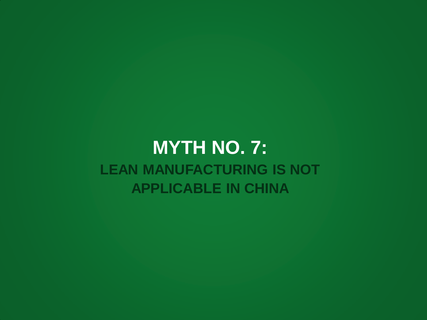#### **MYTH NO. 7: LEAN MANUFACTURING IS NOT APPLICABLE IN CHINA**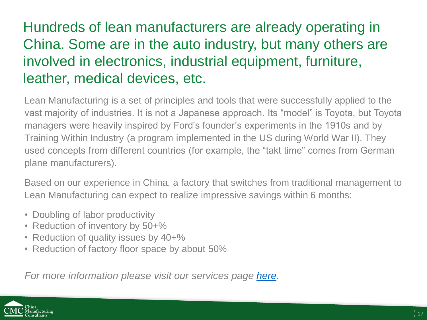#### Hundreds of lean manufacturers are already operating in China. Some are in the auto industry, but many others are involved in electronics, industrial equipment, furniture, leather, medical devices, etc.

Lean Manufacturing is a set of principles and tools that were successfully applied to the vast majority of industries. It is not a Japanese approach. Its "model" is Toyota, but Toyota managers were heavily inspired by Ford's founder's experiments in the 1910s and by Training Within Industry (a program implemented in the US during World War II). They used concepts from different countries (for example, the "takt time" comes from German plane manufacturers).

Based on our experience in China, a factory that switches from traditional management to Lean Manufacturing can expect to realize impressive savings within 6 months:

- Doubling of labor productivity
- Reduction of inventory by 50+%
- Reduction of quality issues by 40+%
- Reduction of factory floor space by about 50%

*For more information please visit our services page [here](http://cmc-consultants.com/services/).*

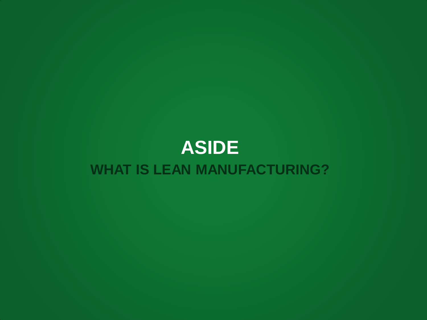#### **ASIDE WHAT IS LEAN MANUFACTURING?**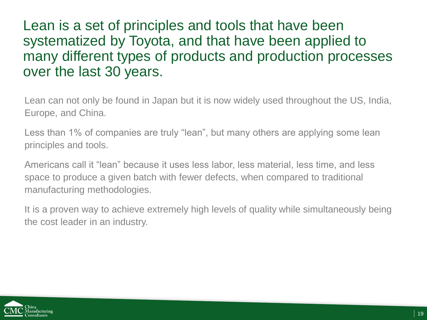Lean is a set of principles and tools that have been systematized by Toyota, and that have been applied to many different types of products and production processes over the last 30 years.

Lean can not only be found in Japan but it is now widely used throughout the US, India, Europe, and China.

Less than 1% of companies are truly "lean", but many others are applying some lean principles and tools.

Americans call it "lean" because it uses less labor, less material, less time, and less space to produce a given batch with fewer defects, when compared to traditional manufacturing methodologies.

It is a proven way to achieve extremely high levels of quality while simultaneously being the cost leader in an industry.